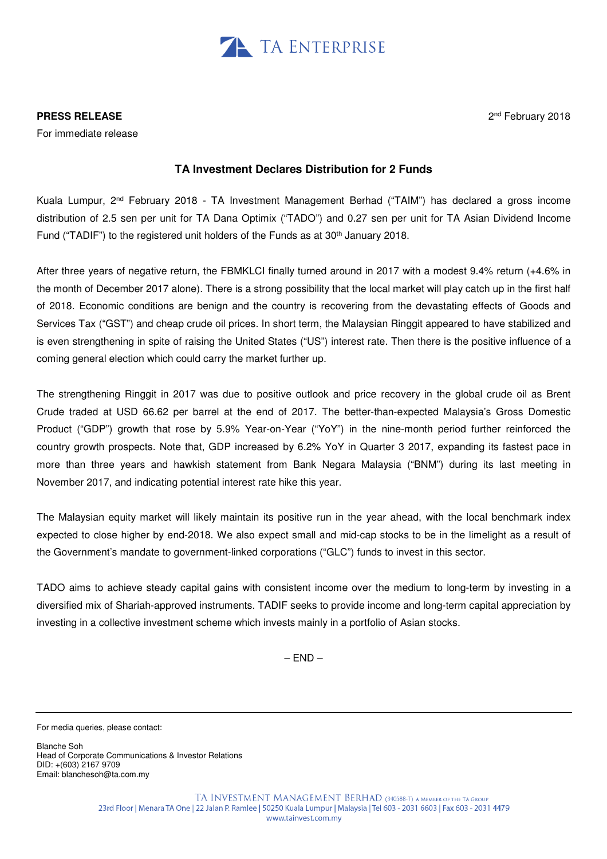

**PRESS RELEASE** 

For immediate release

## **TA Investment Declares Distribution for 2 Funds**

Kuala Lumpur, 2nd February 2018 - TA Investment Management Berhad ("TAIM") has declared a gross income distribution of 2.5 sen per unit for TA Dana Optimix ("TADO") and 0.27 sen per unit for TA Asian Dividend Income Fund ("TADIF") to the registered unit holders of the Funds as at 30<sup>th</sup> January 2018.

After three years of negative return, the FBMKLCI finally turned around in 2017 with a modest 9.4% return (+4.6% in the month of December 2017 alone). There is a strong possibility that the local market will play catch up in the first half of 2018. Economic conditions are benign and the country is recovering from the devastating effects of Goods and Services Tax ("GST") and cheap crude oil prices. In short term, the Malaysian Ringgit appeared to have stabilized and is even strengthening in spite of raising the United States ("US") interest rate. Then there is the positive influence of a coming general election which could carry the market further up.

The strengthening Ringgit in 2017 was due to positive outlook and price recovery in the global crude oil as Brent Crude traded at USD 66.62 per barrel at the end of 2017. The better-than-expected Malaysia's Gross Domestic Product ("GDP") growth that rose by 5.9% Year-on-Year ("YoY") in the nine-month period further reinforced the country growth prospects. Note that, GDP increased by 6.2% YoY in Quarter 3 2017, expanding its fastest pace in more than three years and hawkish statement from Bank Negara Malaysia ("BNM") during its last meeting in November 2017, and indicating potential interest rate hike this year.

The Malaysian equity market will likely maintain its positive run in the year ahead, with the local benchmark index expected to close higher by end-2018. We also expect small and mid-cap stocks to be in the limelight as a result of the Government's mandate to government-linked corporations ("GLC") funds to invest in this sector.

TADO aims to achieve steady capital gains with consistent income over the medium to long-term by investing in a diversified mix of Shariah-approved instruments. TADIF seeks to provide income and long-term capital appreciation by investing in a collective investment scheme which invests mainly in a portfolio of Asian stocks.

 $-$  END  $-$ 

For media queries, please contact:

Blanche Soh Head of Corporate Communications & Investor Relations DID: +(603) 2167 9709 Email: blanchesoh@ta.com.my